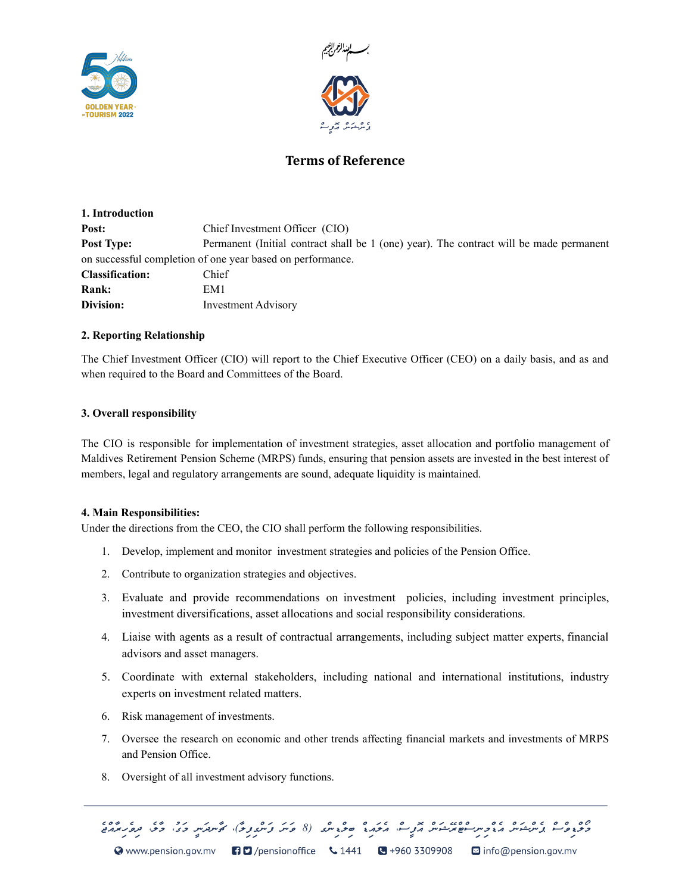



# **Terms of Reference**

| 1. Introduction        |                                                                                         |
|------------------------|-----------------------------------------------------------------------------------------|
| Post:                  | Chief Investment Officer (CIO)                                                          |
| <b>Post Type:</b>      | Permanent (Initial contract shall be 1 (one) year). The contract will be made permanent |
|                        | on successful completion of one year based on performance.                              |
| <b>Classification:</b> | Chief                                                                                   |
| <b>Rank:</b>           | EM1                                                                                     |
| Division:              | <b>Investment Advisory</b>                                                              |

# **2. Reporting Relationship**

The Chief Investment Officer (CIO) will report to the Chief Executive Officer (CEO) on a daily basis, and as and when required to the Board and Committees of the Board.

# **3. Overall responsibility**

The CIO is responsible for implementation of investment strategies, asset allocation and portfolio management of Maldives Retirement Pension Scheme (MRPS) funds, ensuring that pension assets are invested in the best interest of members, legal and regulatory arrangements are sound, adequate liquidity is maintained.

### **4. Main Responsibilities:**

Under the directions from the CEO, the CIO shall perform the following responsibilities.

- 1. Develop, implement and monitor investment strategies and policies of the Pension Office.
- 2. Contribute to organization strategies and objectives.
- 3. Evaluate and provide recommendations on investment policies, including investment principles, investment diversifications, asset allocations and social responsibility considerations.
- 4. Liaise with agents as a result of contractual arrangements, including subject matter experts, financial advisors and asset managers.
- 5. Coordinate with external stakeholders, including national and international institutions, industry experts on investment related matters.
- 6. Risk management of investments.
- 7. Oversee the research on economic and other trends affecting financial markets and investments of MRPS and Pension Office.
- 8. Oversight of all investment advisory functions.

© www.pension.gov.mv 日口/pensionoffice \1441 B +960 3309908 O info@pension.gov.mv